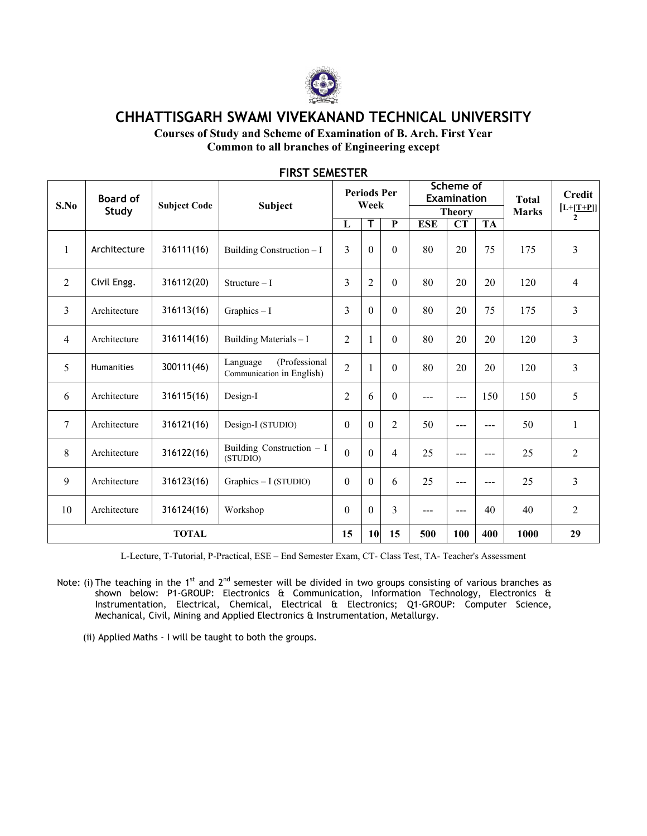

CHHATTISGARH SWAMI VIVEKANAND TECHNICAL UNIVERSITY

Courses of Study and Scheme of Examination of B. Arch. First Year Common to all branches of Engineering except

| S.No            | <b>Board of</b> | <b>Subject Code</b> | <b>Subject</b>                                         |                | <b>Periods Per</b><br>Week |                |            | Scheme of<br><b>Examination</b> |                   | <b>Total</b> | <b>Credit</b>               |
|-----------------|-----------------|---------------------|--------------------------------------------------------|----------------|----------------------------|----------------|------------|---------------------------------|-------------------|--------------|-----------------------------|
|                 | Study           |                     |                                                        | L              | T                          | $\mathbf P$    | <b>ESE</b> | <b>Theory</b><br>CT             | <b>TA</b>         | <b>Marks</b> | $[L+ T+P]]$<br>$\mathbf{2}$ |
| 1               | Architecture    | 316111(16)          | Building Construction - I                              | $\overline{3}$ | $\theta$                   | $\theta$       | 80         | 20                              | 75                | 175          | 3                           |
| 2               | Civil Engg.     | 316112(20)          | Structure $-1$                                         | $\overline{3}$ | $\overline{2}$             | $\theta$       | 80         | 20                              | 20                | 120          | $\overline{4}$              |
| 3               | Architecture    | 316113(16)          | $Graphics - I$                                         | 3              | $\theta$                   | $\theta$       | 80         | 20                              | 75                | 175          | 3                           |
| $\overline{4}$  | Architecture    | 316114(16)          | Building Materials - I                                 | $\overline{2}$ |                            | $\theta$       | 80         | 20                              | 20                | 120          | 3                           |
| 5               | Humanities      | 300111(46)          | (Professional<br>Language<br>Communication in English) | $\overline{2}$ |                            | $\theta$       | 80         | 20                              | 20                | 120          | 3                           |
| 6               | Architecture    | 316115(16)          | Design-I                                               | $\overline{2}$ | 6                          | $\overline{0}$ | $---$      | $---$                           | 150               | 150          | 5                           |
| $7\phantom{.0}$ | Architecture    | 316121(16)          | Design-I (STUDIO)                                      | $\theta$       | $\Omega$                   | $\overline{2}$ | 50         | $---$                           | $---$             | 50           | $\mathbf{1}$                |
| 8               | Architecture    | 316122(16)          | Building Construction - I<br>(STUDIO)                  | $\overline{0}$ | $\theta$                   | 4              | 25         | $---$                           | $---$             | 25           | $\overline{2}$              |
| 9               | Architecture    | 316123(16)          | $Graphics - I (STUDIO)$                                | $\theta$       | $\theta$                   | 6              | 25         | $---$                           | $\qquad \qquad -$ | 25           | 3                           |
| 10              | Architecture    | 316124(16)          | Workshop                                               | $\mathbf{0}$   | $\mathbf{0}$               | 3              | ---        | ---                             | 40                | 40           | $\overline{2}$              |
|                 | <b>TOTAL</b>    |                     |                                                        | 15             | 10                         | 15             | 500        | 100                             | 400               | 1000         | 29                          |

### **FIRST SEMESTER**

L-Lecture, T-Tutorial, P-Practical, ESE - End Semester Exam, CT- Class Test, TA- Teacher's Assessment

Note: (i) The teaching in the  $1^{st}$  and  $2^{nd}$  semester will be divided in two groups consisting of various branches as shown below: P1-GROUP: Electronics & Communication, Information Technology, Electronics & Instrumentation, Electrical, Chemical, Electrical & Electronics; Q1-GROUP: Computer Science, Mechanical, Civil, Mining and Applied Electronics & Instrumentation, Metallurgy.

(ii) Applied Maths - I will be taught to both the groups.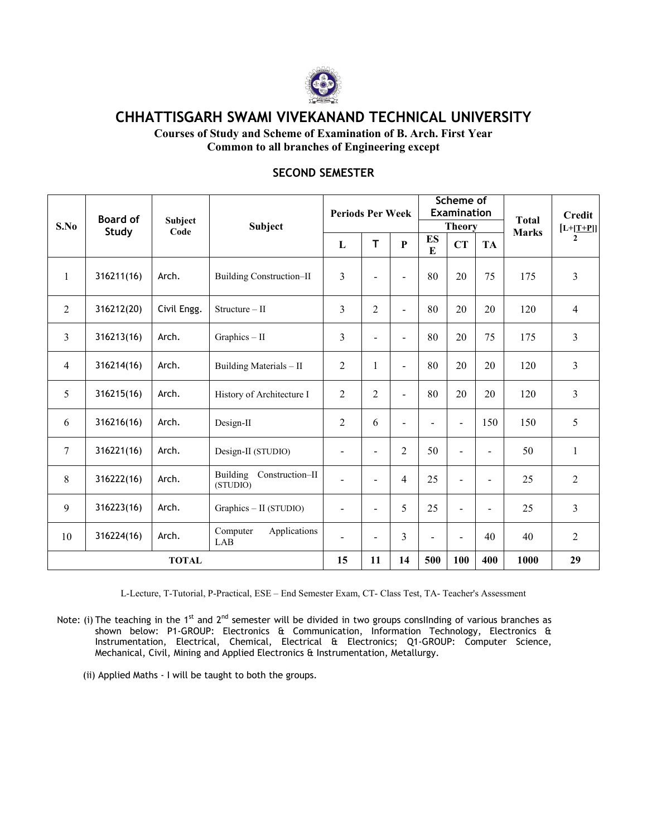

CHHATTISGARH SWAMI VIVEKANAND TECHNICAL UNIVERSITY

Courses of Study and Scheme of Examination of B. Arch. First Year Common to all branches of Engineering except

| S.No           | <b>Board of</b><br>Study | Subject<br>Code | Subject                              | <b>Periods Per Week</b>  |                          |                          |                | Scheme of<br><b>Examination</b><br><b>Theory</b> |                | <b>Total</b> | <b>Credit</b><br>$[L+T+P]]$ |  |
|----------------|--------------------------|-----------------|--------------------------------------|--------------------------|--------------------------|--------------------------|----------------|--------------------------------------------------|----------------|--------------|-----------------------------|--|
|                |                          |                 |                                      | L                        | T                        | $\mathbf{P}$             | <b>ES</b><br>E | CT                                               | <b>TA</b>      | <b>Marks</b> | $\overline{2}$              |  |
| 1              | 316211(16)               | Arch.           | <b>Building Construction-II</b>      | 3                        | $\blacksquare$           | $\overline{a}$           | 80             | 20                                               | 75             | 175          | 3                           |  |
| $\overline{2}$ | 316212(20)               | Civil Engg.     | $Structure - II$                     | 3                        | $\overline{2}$           | Ξ.                       | 80             | 20                                               | 20             | 120          | $\overline{4}$              |  |
| $\overline{3}$ | 316213(16)               | Arch.           | Graphics - II                        | 3                        | $\blacksquare$           | Ξ.                       | 80             | 20                                               | 75             | 175          | 3                           |  |
| $\overline{4}$ | 316214(16)               | Arch.           | Building Materials - II              | $\overline{2}$           | $\mathbf{1}$             | $\overline{\phantom{0}}$ | 80             | 20                                               | 20             | 120          | 3                           |  |
| 5              | 316215(16)               | Arch.           | History of Architecture I            | $\overline{2}$           | $\overline{2}$           | Ξ.                       | 80             | 20                                               | 20             | 120          | 3                           |  |
| 6              | 316216(16)               | Arch.           | Design-II                            | 2                        | 6                        | Ξ.                       | $\overline{a}$ | $\blacksquare$                                   | 150            | 150          | 5                           |  |
| 7              | 316221(16)               | Arch.           | Design-II (STUDIO)                   | $\blacksquare$           | $\blacksquare$           | $\overline{2}$           | 50             | $\blacksquare$                                   | $\blacksquare$ | 50           | $\mathbf{1}$                |  |
| $8\,$          | 316222(16)               | Arch.           | Building Construction-II<br>(STUDIO) | $\blacksquare$           | $\blacksquare$           | $\overline{4}$           | 25             | $\blacksquare$                                   | $\blacksquare$ | 25           | $\overline{2}$              |  |
| $\mathfrak{g}$ | 316223(16)               | Arch.           | Graphics - II (STUDIO)               | $\overline{\phantom{a}}$ | $\blacksquare$           | 5                        | 25             | $\blacksquare$                                   | $\blacksquare$ | 25           | $\overline{3}$              |  |
| 10             | 316224(16)               | Arch.           | Computer<br>Applications<br>LAB      | $\overline{\phantom{a}}$ | $\overline{\phantom{a}}$ | $\overline{3}$           | $\blacksquare$ | $\blacksquare$                                   | 40             | 40           | $\overline{2}$              |  |
| <b>TOTAL</b>   |                          |                 | 15                                   | 11                       | 14                       | 500                      | 100            | 400                                              | 1000           | 29           |                             |  |

### **SECOND SEMESTER**

L-Lecture, T-Tutorial, P-Practical, ESE - End Semester Exam, CT- Class Test, TA- Teacher's Assessment

Note: (i) The teaching in the 1<sup>st</sup> and 2<sup>nd</sup> semester will be divided in two groups conslinding of various branches as shown below: P1-GROUP: Electronics & Communication, Information Technology, Electronics & Instrumentation, Electrical, Chemical, Electrical & Electronics; Q1-GROUP: Computer Science, Mechanical, Civil, Mining and Applied Electronics & Instrumentation, Metallurgy.

(ii) Applied Maths - I will be taught to both the groups.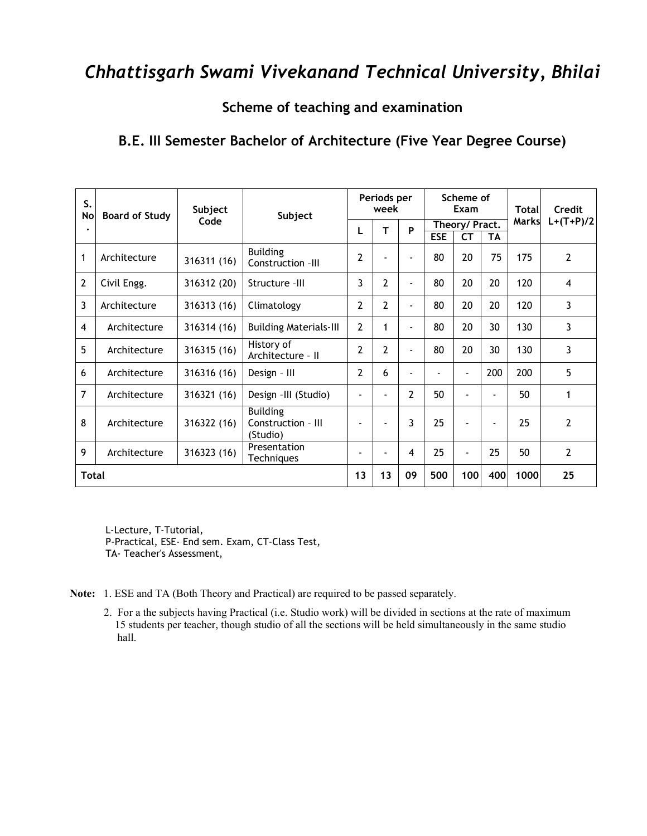Scheme of teaching and examination

## B.E. III Semester Bachelor of Architecture (Five Year Degree Course)

| S.<br>No | <b>Board of Study</b> | Subject     | Subject                                           |                          | Periods per<br>week |                          |                | Scheme of<br>Exam        |     | Total | Credit         |
|----------|-----------------------|-------------|---------------------------------------------------|--------------------------|---------------------|--------------------------|----------------|--------------------------|-----|-------|----------------|
|          |                       | Code        |                                                   |                          | т                   | P                        |                | Theory/ Pract.           |     | Marks | $L+(T+P)/2$    |
|          |                       |             |                                                   |                          |                     |                          | <b>ESE</b>     | <b>CT</b>                | TA  |       |                |
| 1        | Architecture          | 316311 (16) | <b>Building</b><br>Construction -III              | 2                        |                     | $\overline{a}$           | 80             | 20                       | 75  | 175   | $\overline{2}$ |
| 2        | Civil Engg.           | 316312 (20) | Structure -III                                    | 3                        | 2                   | $\blacksquare$           | 80             | 20                       | 20  | 120   | $\overline{4}$ |
| 3        | Architecture          | 316313 (16) | Climatology                                       | 2                        | 2                   | $\blacksquare$           | 80             | 20                       | 20  | 120   | 3              |
| 4        | Architecture          | 316314 (16) | <b>Building Materials-III</b>                     | $\overline{2}$           | 1                   | $\blacksquare$           | 80             | 20                       | 30  | 130   | 3              |
| 5        | Architecture          | 316315 (16) | History of<br>Architecture - II                   | $\mathbf{2}$             | $\mathbf{2}$        | $\blacksquare$           | 80             | 20                       | 30  | 130   | 3              |
| 6        | Architecture          | 316316 (16) | Design - III                                      | $\mathbf{2}$             | 6                   | $\overline{\phantom{a}}$ | $\overline{a}$ | $\overline{\phantom{a}}$ | 200 | 200   | 5              |
| 7        | Architecture          | 316321 (16) | Design -III (Studio)                              |                          |                     | 2                        | 50             | $\overline{a}$           | ÷   | 50    | $\mathbf{1}$   |
| 8        | Architecture          | 316322 (16) | <b>Building</b><br>Construction - III<br>(Studio) |                          | $\overline{a}$      | 3                        | 25             | $\blacksquare$           | ۰   | 25    | $\overline{2}$ |
| 9        | Architecture          | 316323 (16) | Presentation<br><b>Techniques</b>                 | $\overline{\phantom{a}}$ | $\overline{a}$      | $\overline{4}$           | 25             | $\overline{\phantom{a}}$ | 25  | 50    | $\overline{2}$ |
| Total    |                       |             |                                                   | 13                       | 13                  | 09                       | 500            | 100                      | 400 | 1000  | 25             |

L-Lecture, T-Tutorial, P-Practical, ESE- End sem. Exam, CT-Class Test, TA- Teacher's Assessment,

- Note: 1. ESE and TA (Both Theory and Practical) are required to be passed separately.
	- 2. For a the subjects having Practical (i.e. Studio work) will be divided in sections at the rate of maximum 15 students per teacher, though studio of all the sections will be held simultaneously in the same studio hall.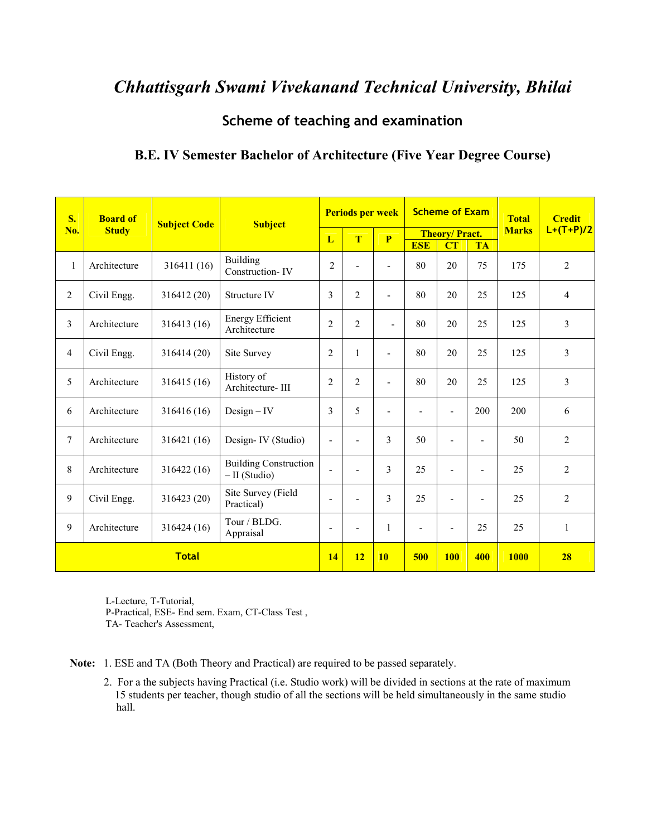### Scheme of teaching and examination

| S.             | <b>Board of</b> | <b>Subject Code</b> |                                                | <b>Periods per week</b><br><b>Subject</b> |                |                          | <b>Scheme of Exam</b>        |                            | <b>Total</b>             | <b>Credit</b> |                |
|----------------|-----------------|---------------------|------------------------------------------------|-------------------------------------------|----------------|--------------------------|------------------------------|----------------------------|--------------------------|---------------|----------------|
| No.            | <b>Study</b>    |                     |                                                | L                                         | T              | P                        | <b>ESE</b>                   | <b>Theory/Pract.</b><br>CT | <b>TA</b>                | <b>Marks</b>  | $L+(T+P)/2$    |
| $\mathbf{1}$   | Architecture    | 316411 (16)         | <b>Building</b><br>Construction-IV             | $\boldsymbol{2}$                          |                | $\overline{a}$           | 80                           | 20                         | 75                       | 175           | $\overline{2}$ |
| $\overline{2}$ | Civil Engg.     | 316412 (20)         | Structure IV                                   | 3                                         | $\overline{2}$ | $\blacksquare$           | 80                           | 20                         | 25                       | 125           | $\overline{4}$ |
| 3              | Architecture    | 316413 (16)         | <b>Energy Efficient</b><br>Architecture        | $\overline{2}$                            | $\overline{2}$ | $\overline{\phantom{a}}$ | 80                           | 20                         | 25                       | 125           | 3              |
| $\overline{4}$ | Civil Engg.     | 316414 (20)         | Site Survey                                    | $\overline{2}$                            | $\mathbf{1}$   | $\overline{\phantom{a}}$ | 80                           | 20                         | 25                       | 125           | $\overline{3}$ |
| 5              | Architecture    | 316415 (16)         | History of<br>Architecture-III                 | $\overline{2}$                            | $\overline{2}$ | $\overline{a}$           | 80                           | 20                         | 25                       | 125           | 3              |
| 6              | Architecture    | 316416 (16)         | $Design - IV$                                  | 3                                         | 5              | $\overline{\phantom{0}}$ | $\qquad \qquad \blacksquare$ | ٠                          | 200                      | 200           | 6              |
| $\overline{7}$ | Architecture    | 316421 (16)         | Design-IV (Studio)                             | $\blacksquare$                            | ۰              | 3                        | 50                           |                            | $\overline{\phantom{a}}$ | 50            | $\overline{2}$ |
| 8              | Architecture    | 316422 (16)         | <b>Building Construction</b><br>$-II$ (Studio) | $\blacksquare$                            |                | 3                        | 25                           |                            |                          | 25            | $\overline{2}$ |
| 9              | Civil Engg.     | 316423 (20)         | Site Survey (Field<br>Practical)               | $\overline{\phantom{a}}$                  |                | 3                        | 25                           |                            |                          | 25            | $\overline{2}$ |
| 9              | Architecture    | 316424 (16)         | Tour / BLDG.<br>Appraisal                      | $\overline{\phantom{a}}$                  | -              | 1                        | ٠                            |                            | 25                       | 25            | $\mathbf{1}$   |
|                |                 | <b>Total</b>        |                                                | 14                                        | 12             | 10                       | 500                          | <b>100</b>                 | 400                      | <b>1000</b>   | 28             |

### **B.E. IV Semester Bachelor of Architecture (Five Year Degree Course)**

L-Lecture, T-Tutorial, P-Practical, ESE- End sem. Exam, CT-Class Test, TA-Teacher's Assessment,

Note: 1. ESE and TA (Both Theory and Practical) are required to be passed separately.

2. For a the subjects having Practical (i.e. Studio work) will be divided in sections at the rate of maximum 15 students per teacher, though studio of all the sections will be held simultaneously in the same studio hall.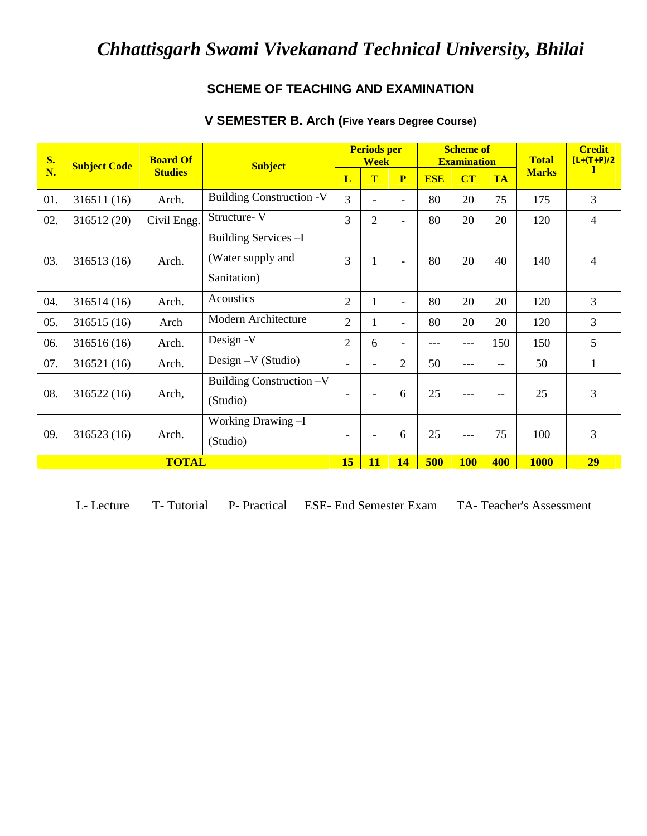### **SCHEME OF TEACHING AND EXAMINATION**

| <b>S.</b> | <b>Subject Code</b> | <b>Board Of</b> | <b>Subject</b>                                            |                   | <b>Periods per</b><br><b>Week</b> |                          |            | <b>Scheme of</b><br><b>Examination</b> |           | <b>Total</b> | <b>Credit</b><br>$[L+(T+P)/2]$ |
|-----------|---------------------|-----------------|-----------------------------------------------------------|-------------------|-----------------------------------|--------------------------|------------|----------------------------------------|-----------|--------------|--------------------------------|
| N.        |                     | <b>Studies</b>  |                                                           | L                 | T                                 | P                        | <b>ESE</b> | CT                                     | <b>TA</b> | <b>Marks</b> |                                |
| 01.       | 316511(16)          | Arch.           | <b>Building Construction -V</b>                           | 3                 | $\overline{\phantom{0}}$          | $\overline{\phantom{0}}$ | 80         | 20                                     | 75        | 175          | 3                              |
| 02.       | 316512 (20)         | Civil Engg.     | Structure-V                                               | 3                 | $\overline{2}$                    | $\overline{\phantom{0}}$ | 80         | 20                                     | 20        | 120          | 4                              |
| 03.       | 316513 (16)         | Arch.           | Building Services - I<br>(Water supply and<br>Sanitation) | 3                 | $\mathbf{1}$                      | $\overline{\phantom{0}}$ | 80         | 20                                     | 40        | 140          | 4                              |
| 04.       | 316514(16)          | Arch.           | Acoustics                                                 | $\overline{2}$    | $\mathbf{1}$                      | ۰                        | 80         | 20                                     | 20        | 120          | 3                              |
| 05.       | 316515(16)          | Arch            | Modern Architecture                                       | $\overline{2}$    | 1                                 | $\overline{\phantom{0}}$ | 80         | 20                                     | 20        | 120          | 3                              |
| 06.       | 316516(16)          | Arch.           | Design -V                                                 | $\overline{2}$    | 6                                 |                          | ---        | ---                                    | 150       | 150          | 5                              |
| 07.       | 316521 (16)         | Arch.           | Design - V (Studio)                                       |                   | $\overline{a}$                    | 2                        | 50         | ---                                    | $-$       | 50           | 1                              |
| 08.       | 316522(16)          | Arch,           | Building Construction -V<br>(Studio)                      | $\qquad \qquad -$ | $\overline{\phantom{0}}$          | 6                        | 25         | ---                                    | $-$       | 25           | 3                              |
| 09.       | 316523 (16)         | Arch.           | Working Drawing -I<br>(Studio)                            |                   | $\overline{\phantom{0}}$          | 6                        | 25         | ---                                    | 75        | 100          | 3                              |
|           | <b>TOTAL</b>        |                 |                                                           | 15                | 11                                | 14                       | 500        | <b>100</b>                             | 400       | <b>1000</b>  | 29                             |

## **V SEMESTER B. Arch (Five Years Degree Course)**

L- Lecture T- Tutorial P- Practical ESE- End Semester Exam TA- Teacher's Assessment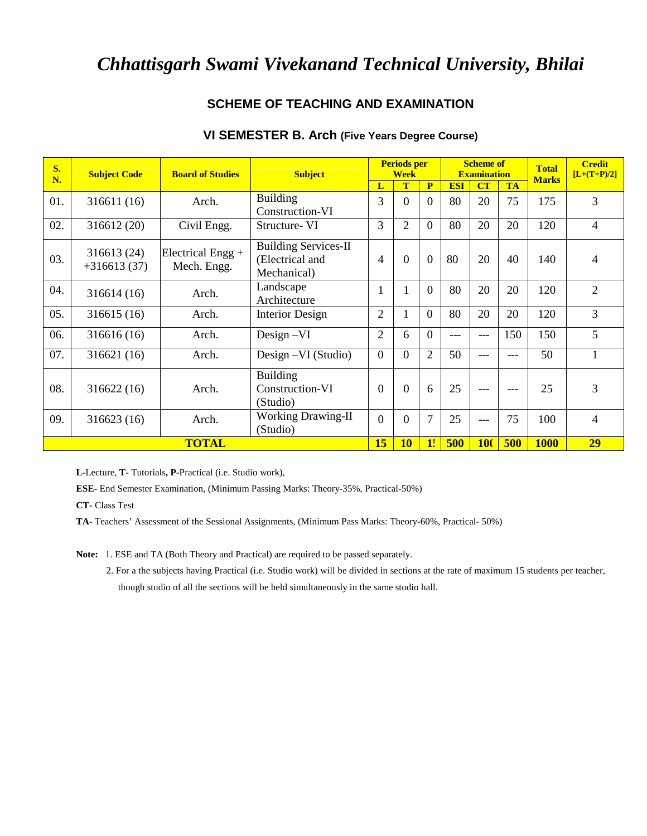### **SCHEME OF TEACHING AND EXAMINATION**

| VI SEMESTER B. Arch (Five Years Degree Course) |  |  |  |
|------------------------------------------------|--|--|--|
|------------------------------------------------|--|--|--|

| S.<br>N. | <b>Subject Code</b>          | <b>Board of Studies</b>          | <b>Subject</b>                                                |                | <b>Periods per</b><br><b>Week</b> |                |            | <b>Scheme of</b><br><b>Examination</b> |           | <b>Total</b> | <b>Credit</b><br>$[L+(T+P)/2]$ |
|----------|------------------------------|----------------------------------|---------------------------------------------------------------|----------------|-----------------------------------|----------------|------------|----------------------------------------|-----------|--------------|--------------------------------|
|          |                              |                                  |                                                               | L              | T                                 | $\mathbf{P}$   | <b>ESI</b> | CT                                     | <b>TA</b> | <b>Marks</b> |                                |
| 01.      | 316611 (16)                  | Arch.                            | <b>Building</b><br>Construction-VI                            | 3              | $\overline{0}$                    | $\Omega$       | 80         | 20                                     | 75        | 175          | 3                              |
| 02.      | 316612 (20)                  | Civil Engg.                      | Structure-VI                                                  | 3              | 2                                 | $\overline{0}$ | 80         | 20                                     | 20        | 120          | 4                              |
| 03.      | 316613 (24)<br>$+316613(37)$ | Electrical Engg +<br>Mech. Engg. | <b>Building Services-II</b><br>(Electrical and<br>Mechanical) | 4              | $\theta$                          | $\Omega$       | 80         | 20                                     | 40        | 140          | 4                              |
| 04.      | 316614 (16)                  | Arch.                            | Landscape<br>Architecture                                     | 1              | 1                                 | $\theta$       | 80         | 20                                     | 20        | 120          | $\overline{2}$                 |
| 05.      | 316615(16)                   | Arch.                            | <b>Interior Design</b>                                        | $\overline{2}$ |                                   | $\overline{0}$ | 80         | 20                                     | 20        | 120          | 3                              |
| 06.      | 316616 (16)                  | Arch.                            | $Design -VI$                                                  | $\overline{2}$ | 6                                 | $\Omega$       | ---        | ---                                    | 150       | 150          | 5                              |
| 07.      | 316621 (16)                  | Arch.                            | Design - VI (Studio)                                          | $\overline{0}$ | $\overline{0}$                    | $\overline{2}$ | 50         | ---                                    | ---       | 50           |                                |
| 08.      | 316622(16)                   | Arch.                            | <b>Building</b><br>Construction-VI<br>(Studio)                | $\Omega$       | $\Omega$                          | 6              | 25         | ---                                    | ---       | 25           | 3                              |
| 09.      | 316623 (16)                  | Arch.                            | <b>Working Drawing-II</b><br>(Studio)                         | $\Omega$       | $\Omega$                          | $\overline{7}$ | 25         | $---$                                  | 75        | 100          | 4                              |
|          |                              | <b>TOTAL</b>                     |                                                               | 15             | 10                                | 1!             | 500        | <b>100</b>                             | 500       | <b>1000</b>  | 29                             |

**L**-Lecture, **T**- Tutorials**, P**-Practical (i.e. Studio work),

**ESE-** End Semester Examination, (Minimum Passing Marks: Theory-35%, Practical-50%)

**CT-** Class Test

**TA-** Teachers' Assessment of the Sessional Assignments, (Minimum Pass Marks: Theory-60%, Practical- 50%)

**Note:** 1. ESE and TA (Both Theory and Practical) are required to be passed separately.

2. For a the subjects having Practical (i.e. Studio work) will be divided in sections at the rate of maximum 15 students per teacher, though studio of all the sections will be held simultaneously in the same studio hall.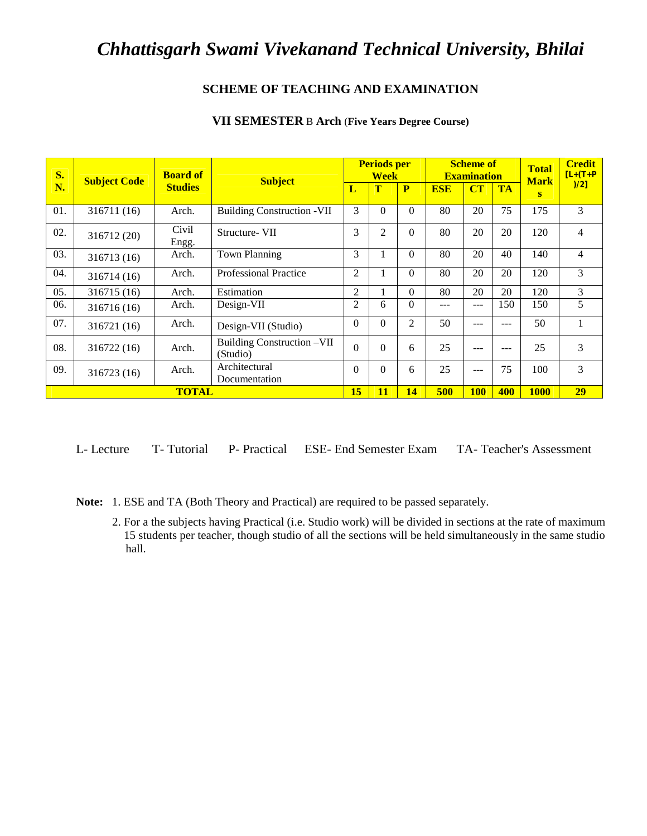### **SCHEME OF TEACHING AND EXAMINATION**

| S.  | <b>Subject Code</b> | <b>Board of</b> | <b>Subject</b>                         |                | <b>Periods per</b><br><b>Week</b> |                 |            | <b>Scheme of</b><br><b>Examination</b> |           | <b>Total</b><br><b>Mark</b> | <b>Credit</b><br>$[L+(T+P$ |
|-----|---------------------|-----------------|----------------------------------------|----------------|-----------------------------------|-----------------|------------|----------------------------------------|-----------|-----------------------------|----------------------------|
| N.  |                     | <b>Studies</b>  |                                        | L              | $\mathbf T$                       | P               | <b>ESE</b> | CT                                     | <b>TA</b> | S                           | )/2]                       |
| 01. | 316711 (16)         | Arch.           | <b>Building Construction -VII</b>      | 3              | $\theta$                          | $\Omega$        | 80         | 20                                     | 75        | 175                         | 3                          |
| 02. | 316712 (20)         | Civil<br>Engg.  | Structure- VII                         | 3              | $\overline{2}$                    | $\Omega$        | 80         | 20                                     | 20        | 120                         | 4                          |
| 03. | 316713 (16)         | Arch.           | <b>Town Planning</b>                   | 3              |                                   | $\Omega$        | 80         | 20                                     | 40        | 140                         | $\overline{4}$             |
| 04. | 316714 (16)         | Arch.           | <b>Professional Practice</b>           | $\overline{2}$ |                                   | $\Omega$        | 80         | 20                                     | 20        | 120                         | 3                          |
| 05. | 316715 (16)         | Arch.           | Estimation                             | 2              |                                   | $\Omega$        | 80         | 20                                     | 20        | 120                         | 3                          |
| 06. | 316716 (16)         | Arch.           | Design-VII                             | 2              | 6                                 | $\Omega$        | ---        | ---                                    | 150       | 150                         | 5                          |
| 07. | 316721 (16)         | Arch.           | Design-VII (Studio)                    | $\Omega$       | $\theta$                          | $\mathfrak{D}$  | 50         | ---                                    | ---       | 50                          | $\mathbf{1}$               |
| 08. | 316722 (16)         | Arch.           | Building Construction -VII<br>(Studio) | $\Omega$       | $\Omega$                          | 6               | 25         | $---$                                  | ---       | 25                          | 3                          |
| 09. | 316723 (16)         | Arch.           | Architectural<br>Documentation         | $\Omega$       | $\Omega$                          | 6               | 25         | ---                                    | 75        | 100                         | 3                          |
|     | <b>TOTAL</b>        |                 |                                        | 15             | 11                                | $\overline{14}$ | 500        | <b>100</b>                             | 400       | <b>1000</b>                 | 29                         |

#### **VII SEMESTER** B **Arch** (**Five Years Degree Course)**

L- Lecture T- Tutorial P- Practical ESE- End Semester Exam TA- Teacher's Assessment

**Note:** 1. ESE and TA (Both Theory and Practical) are required to be passed separately.

2. For a the subjects having Practical (i.e. Studio work) will be divided in sections at the rate of maximum 15 students per teacher, though studio of all the sections will be held simultaneously in the same studio hall.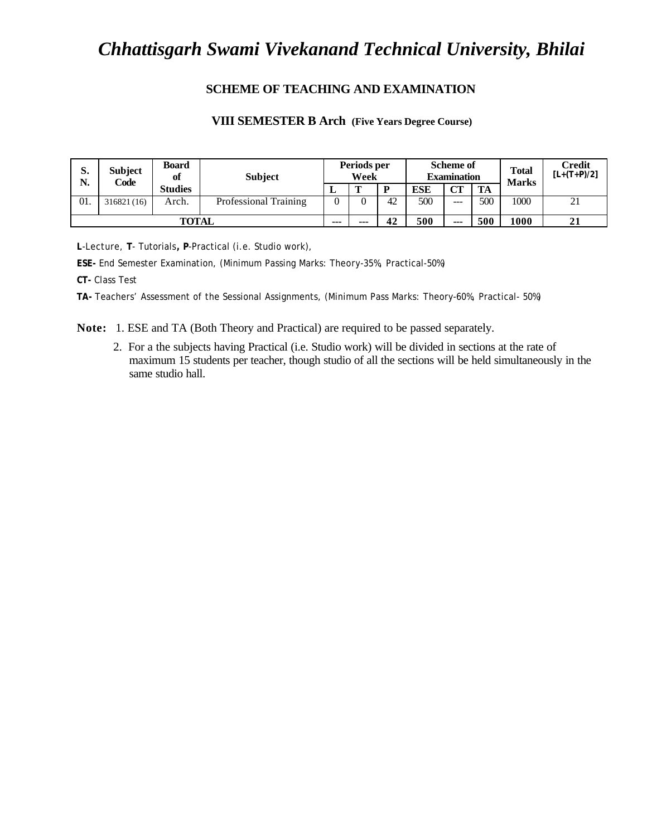#### **SCHEME OF TEACHING AND EXAMINATION**

#### **VIII SEMESTER B Arch (Five Years Degree Course)**

| $\mathbf{C}$<br>э.<br>N. | <b>Subject</b><br>Code | <b>Board</b><br>of | <b>Subject</b>        |      | Periods per<br>Week |    |            | <b>Scheme of</b><br><b>Examination</b> |     | <b>Total</b><br><b>Marks</b> | Credit<br>$[L+(T+P)/2]$ |
|--------------------------|------------------------|--------------------|-----------------------|------|---------------------|----|------------|----------------------------------------|-----|------------------------------|-------------------------|
|                          |                        | <b>Studies</b>     |                       | ≖    | m                   | D  | <b>ESE</b> | CT                                     | TA  |                              |                         |
| 01.                      | 316821(16)             | Arch.              | Professional Training |      |                     | 42 | 500        | ---                                    | 500 | 1000                         | 21                      |
|                          |                        | <b>TOTAL</b>       |                       | $--$ | ---                 | 42 | 500        | $---$                                  | 500 | 1000                         | 21                      |

**L**-Lecture, **T**- Tutorials**, P**-Practical (i.e. Studio work),

**ESE-** End Semester Examination, (Minimum Passing Marks: Theory-35%, Practical-50%)

**CT-** Class Test

**TA-** Teachers' Assessment of the Sessional Assignments, (Minimum Pass Marks: Theory-60%, Practical- 50%)

**Note:** 1. ESE and TA (Both Theory and Practical) are required to be passed separately.

2. For a the subjects having Practical (i.e. Studio work) will be divided in sections at the rate of maximum 15 students per teacher, though studio of all the sections will be held simultaneously in the same studio hall.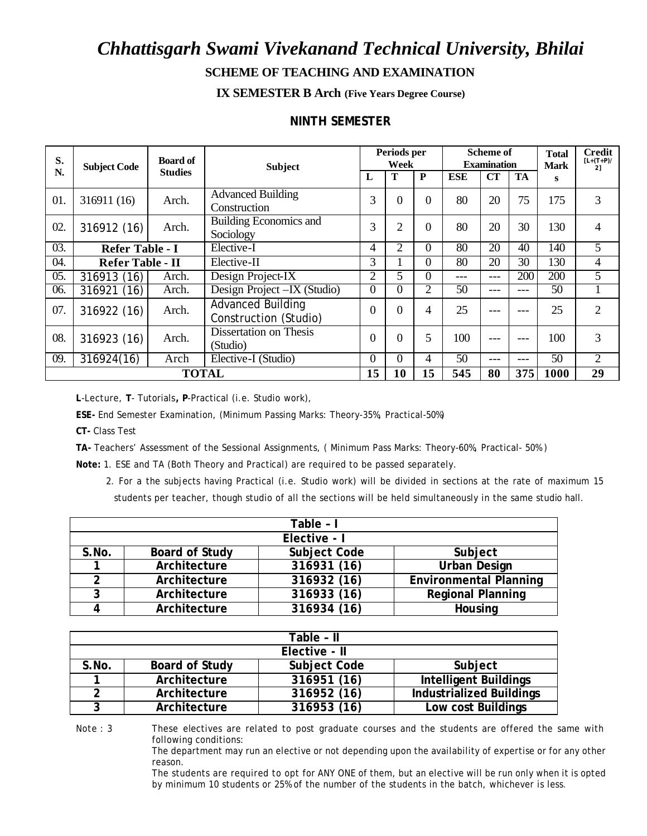# *Chhattisgarh Swami Vivekanand Technical University, Bhilai* **SCHEME OF TEACHING AND EXAMINATION**

**IX SEMESTER B Arch (Five Years Degree Course)**

### **NINTH SEMESTER**

| S.  | <b>Subject Code</b>     | <b>Board of</b> | <b>Subject</b>                                    |                | Periods per<br>Week |                |     | <b>Scheme of</b><br><b>Examination</b> |     | <b>Total</b><br><b>Mark</b> | <b>Credit</b><br>$[L+(T+P)/$<br>21 |
|-----|-------------------------|-----------------|---------------------------------------------------|----------------|---------------------|----------------|-----|----------------------------------------|-----|-----------------------------|------------------------------------|
| N.  |                         | <b>Studies</b>  |                                                   | L              | T                   | P              | ESE | <b>CT</b>                              | TA  | s                           |                                    |
| 01. | 316911 (16)             | Arch.           | <b>Advanced Building</b><br>Construction          | 3              | $\overline{0}$      | $\overline{0}$ | 80  | 20                                     | 75  | 175                         | 3                                  |
| 02. | 316912 (16)             | Arch.           | Building Economics and<br>Sociology               | 3              | $\overline{2}$      | $\Omega$       | 80  | 20                                     | 30  | 130                         | 4                                  |
| 03. | <b>Refer Table - I</b>  |                 | Elective-I                                        | 4              | $\overline{2}$      | $\Omega$       | 80  | 20                                     | 40  | 140                         | 5                                  |
| 04. | <b>Refer Table - II</b> |                 | Elective-II                                       | 3              |                     | 0              | 80  | 20                                     | 30  | 130                         | 4                                  |
| 05. | 316913 (16)             | Arch.           | Design Project-IX                                 | $\overline{2}$ | 5                   | $\Omega$       | --- | ---                                    | 200 | 200                         | 5                                  |
| 06. | 316921 (16)             | Arch.           | Design Project – IX (Studio)                      | $\overline{0}$ | $\theta$            | 2              | 50  | ---                                    | --- | 50                          |                                    |
| 07. | 316922 (16)             | Arch.           | <b>Advanced Building</b><br>Construction (Studio) | $\Omega$       | $\overline{0}$      | 4              | 25  | ---                                    | --- | 25                          | $\mathcal{D}_{\cdot}$              |
| 08. | 316923 (16)             | Arch.           | Dissertation on Thesis<br>(Studio)                | $\theta$       | $\overline{0}$      | 5              | 100 | ---                                    | --- | 100                         | 3                                  |
| 09. | 316924(16)              | Arch            | Elective-I (Studio)                               | $\theta$       | $\theta$            | 4              | 50  | ---                                    | --- | 50                          | $\overline{2}$                     |
|     | <b>TOTAL</b>            |                 |                                                   | 15             | 10                  | 15             | 545 | 80                                     | 375 | 1000                        | 29                                 |

**L**-Lecture, **T**- Tutorials**, P**-Practical (i.e. Studio work),

**ESE-** End Semester Examination, (Minimum Passing Marks: Theory-35%, Practical-50%)

**CT-** Class Test

**TA-** Teachers' Assessment of the Sessional Assignments, ( Minimum Pass Marks: Theory-60%, Practical- 50% )

**Note:** 1. ESE and TA (Both Theory and Practical) are required to be passed separately.

2. For a the subjects having Practical (i.e. Studio work) will be divided in sections at the rate of maximum 15 students per teacher, though studio of all the sections will be held simultaneously in the same studio hall.

|       |                       | Table - I           |                               |
|-------|-----------------------|---------------------|-------------------------------|
|       |                       | Elective - I        |                               |
| S.No. | <b>Board of Study</b> | <b>Subject Code</b> | Subject                       |
|       | Architecture          | 316931 (16)         | <b>Urban Design</b>           |
| 2     | Architecture          | 316932 (16)         | <b>Environmental Planning</b> |
| 3     | Architecture          | 316933 (16)         | <b>Regional Planning</b>      |
|       | Architecture          | 316934 (16)         | <b>Housing</b>                |

|       |                       | Table - II          |                                 |
|-------|-----------------------|---------------------|---------------------------------|
|       |                       |                     |                                 |
|       |                       | Elective - II       |                                 |
| S.No. | <b>Board of Study</b> | <b>Subject Code</b> | Subject                         |
|       | Architecture          | 316951 (16)         | <b>Intelligent Buildings</b>    |
| າ     | Architecture          | 316952 (16)         | <b>Industrialized Buildings</b> |
| ?     | Architecture          | 316953 (16)         | <b>Low cost Buildings</b>       |

Note : 3 These electives are related to post graduate courses and the students are offered the same with following conditions:

The department may run an elective or not depending upon the availability of expertise or for any other reason.

The students are required to opt for ANY ONE of them, but an elective will be run only when it is opted by minimum 10 students or 25% of the number of the students in the batch, whichever is less.